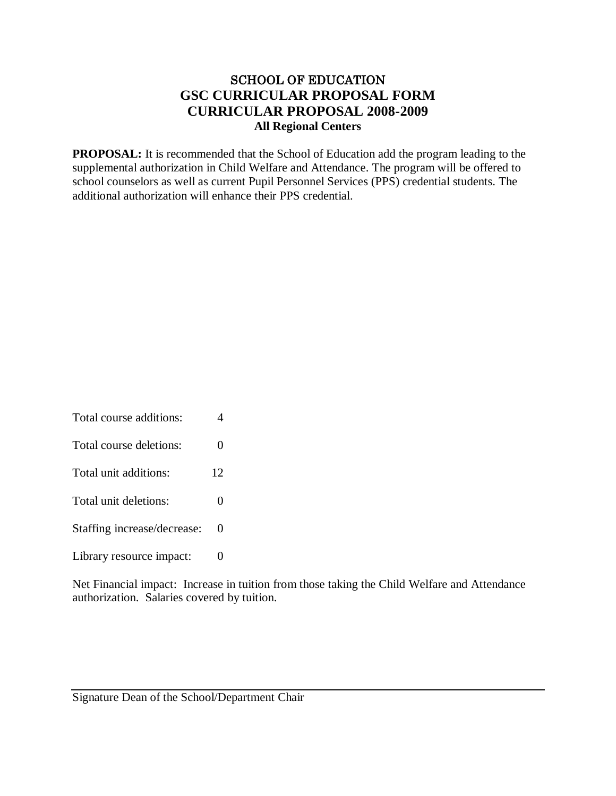# SCHOOL OF EDUCATION **GSC CURRICULAR PROPOSAL FORM CURRICULAR PROPOSAL 2008-2009 All Regional Centers**

**PROPOSAL:** It is recommended that the School of Education add the program leading to the supplemental authorization in Child Welfare and Attendance. The program will be offered to school counselors as well as current Pupil Personnel Services (PPS) credential students. The additional authorization will enhance their PPS credential.

Total course additions: 4 Total course deletions: 0 Total unit additions: 12 Total unit deletions: 0 Staffing increase/decrease: 0 Library resource impact: 0

Net Financial impact: Increase in tuition from those taking the Child Welfare and Attendance authorization. Salaries covered by tuition.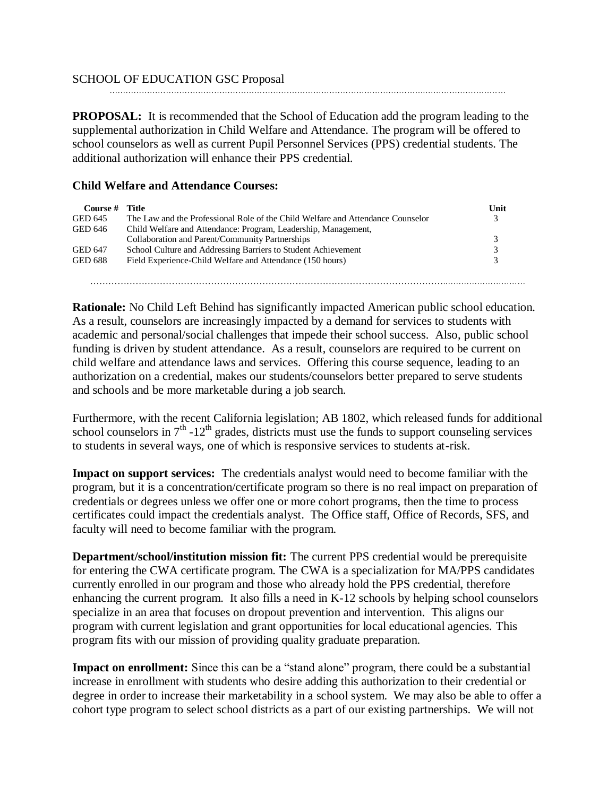## SCHOOL OF EDUCATION GSC Proposal

**PROPOSAL:** It is recommended that the School of Education add the program leading to the supplemental authorization in Child Welfare and Attendance. The program will be offered to school counselors as well as current Pupil Personnel Services (PPS) credential students. The additional authorization will enhance their PPS credential.

……………………………………………………………………………………………………….…………………………

## **Child Welfare and Attendance Courses:**

| Course # | Title                                                                           | Unit          |
|----------|---------------------------------------------------------------------------------|---------------|
| GED 645  | The Law and the Professional Role of the Child Welfare and Attendance Counselor | 3             |
| GED 646  | Child Welfare and Attendance: Program, Leadership, Management,                  |               |
|          | Collaboration and Parent/Community Partnerships                                 | $\mathcal{E}$ |
| GED 647  | School Culture and Addressing Barriers to Student Achievement                   | $\mathcal{R}$ |
| GED 688  | Field Experience-Child Welfare and Attendance (150 hours)                       | $\mathcal{R}$ |
|          |                                                                                 |               |

**Rationale:** No Child Left Behind has significantly impacted American public school education. As a result, counselors are increasingly impacted by a demand for services to students with academic and personal/social challenges that impede their school success. Also, public school funding is driven by student attendance. As a result, counselors are required to be current on child welfare and attendance laws and services. Offering this course sequence, leading to an authorization on a credential, makes our students/counselors better prepared to serve students and schools and be more marketable during a job search.

……………………………………………………………………………………………………….…………………………

Furthermore, with the recent California legislation; AB 1802, which released funds for additional school counselors in  $7<sup>th</sup> - 12<sup>th</sup>$  grades, districts must use the funds to support counseling services to students in several ways, one of which is responsive services to students at-risk.

**Impact on support services:** The credentials analyst would need to become familiar with the program, but it is a concentration/certificate program so there is no real impact on preparation of credentials or degrees unless we offer one or more cohort programs, then the time to process certificates could impact the credentials analyst. The Office staff, Office of Records, SFS, and faculty will need to become familiar with the program.

**Department/school/institution mission fit:** The current PPS credential would be prerequisite for entering the CWA certificate program. The CWA is a specialization for MA/PPS candidates currently enrolled in our program and those who already hold the PPS credential, therefore enhancing the current program. It also fills a need in K-12 schools by helping school counselors specialize in an area that focuses on dropout prevention and intervention. This aligns our program with current legislation and grant opportunities for local educational agencies. This program fits with our mission of providing quality graduate preparation.

**Impact on enrollment:** Since this can be a "stand alone" program, there could be a substantial increase in enrollment with students who desire adding this authorization to their credential or degree in order to increase their marketability in a school system. We may also be able to offer a cohort type program to select school districts as a part of our existing partnerships. We will not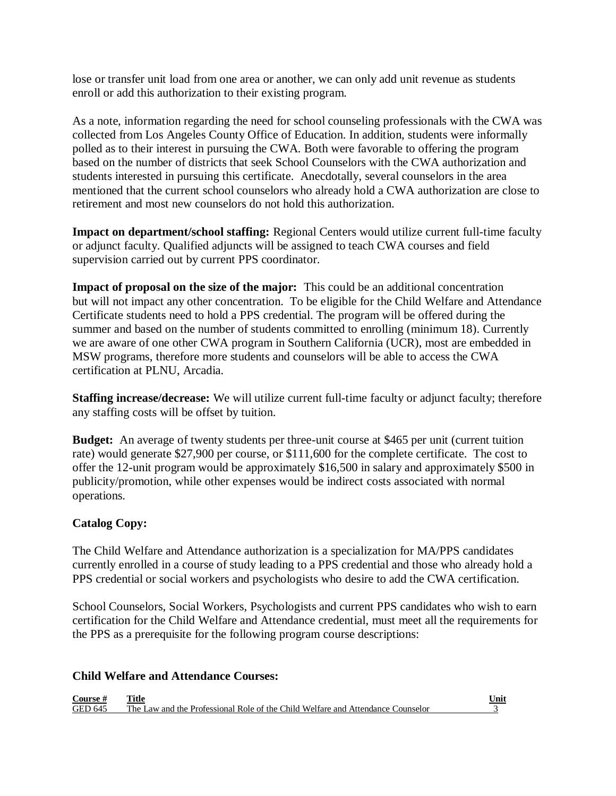lose or transfer unit load from one area or another, we can only add unit revenue as students enroll or add this authorization to their existing program.

As a note, information regarding the need for school counseling professionals with the CWA was collected from Los Angeles County Office of Education. In addition, students were informally polled as to their interest in pursuing the CWA. Both were favorable to offering the program based on the number of districts that seek School Counselors with the CWA authorization and students interested in pursuing this certificate. Anecdotally, several counselors in the area mentioned that the current school counselors who already hold a CWA authorization are close to retirement and most new counselors do not hold this authorization.

**Impact on department/school staffing:** Regional Centers would utilize current full-time faculty or adjunct faculty. Qualified adjuncts will be assigned to teach CWA courses and field supervision carried out by current PPS coordinator.

**Impact of proposal on the size of the major:** This could be an additional concentration but will not impact any other concentration. To be eligible for the Child Welfare and Attendance Certificate students need to hold a PPS credential. The program will be offered during the summer and based on the number of students committed to enrolling (minimum 18). Currently we are aware of one other CWA program in Southern California (UCR), most are embedded in MSW programs, therefore more students and counselors will be able to access the CWA certification at PLNU, Arcadia.

**Staffing increase/decrease:** We will utilize current full-time faculty or adjunct faculty; therefore any staffing costs will be offset by tuition.

**Budget:** An average of twenty students per three-unit course at \$465 per unit (current tuition rate) would generate \$27,900 per course, or \$111,600 for the complete certificate. The cost to offer the 12-unit program would be approximately \$16,500 in salary and approximately \$500 in publicity/promotion, while other expenses would be indirect costs associated with normal operations.

# **Catalog Copy:**

The Child Welfare and Attendance authorization is a specialization for MA/PPS candidates currently enrolled in a course of study leading to a PPS credential and those who already hold a PPS credential or social workers and psychologists who desire to add the CWA certification.

School Counselors, Social Workers, Psychologists and current PPS candidates who wish to earn certification for the Child Welfare and Attendance credential, must meet all the requirements for the PPS as a prerequisite for the following program course descriptions:

### **Child Welfare and Attendance Courses:**